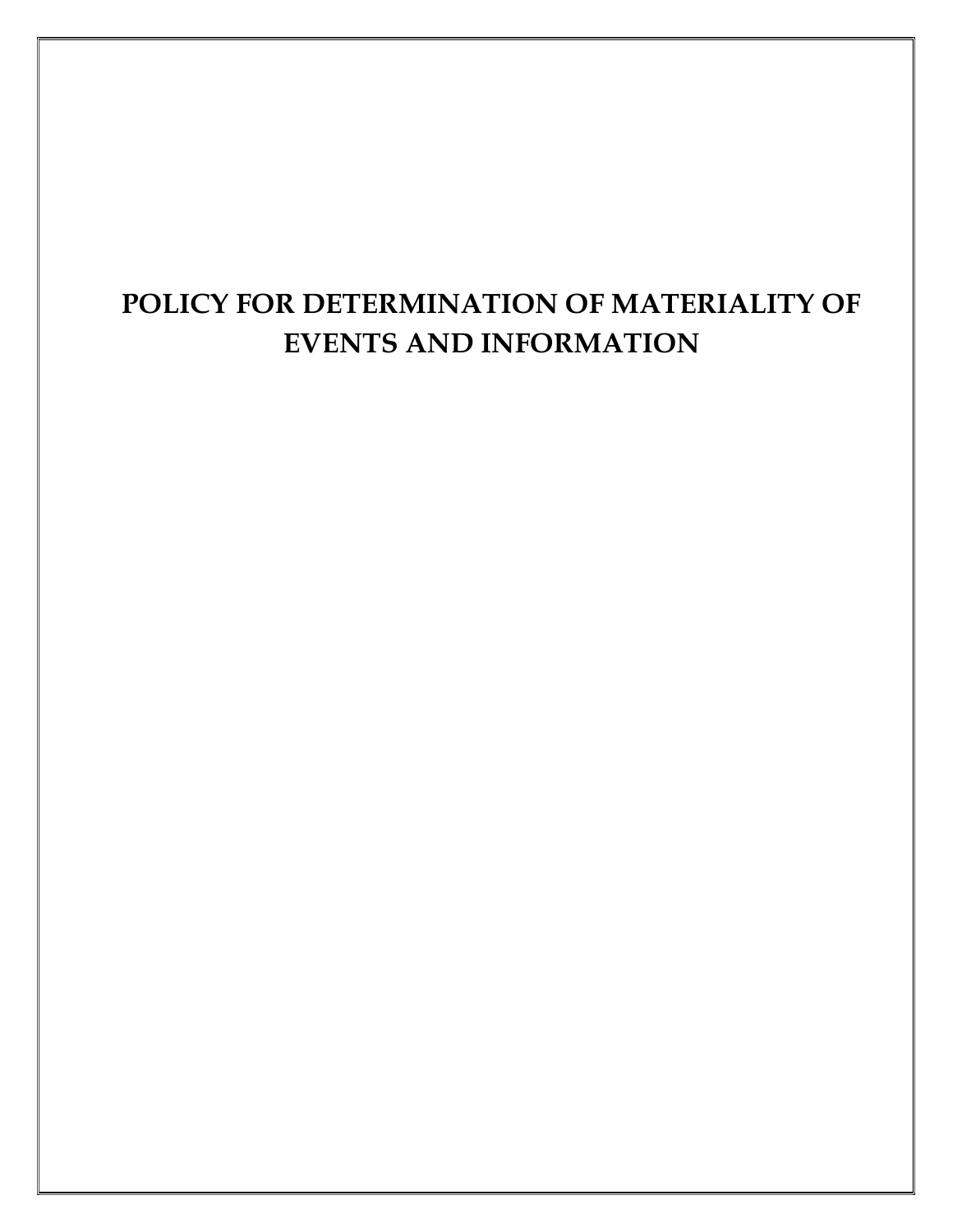# POLICY FOR DETERMINATION OF MATERIALITY OF EVENTS AND INFORMATION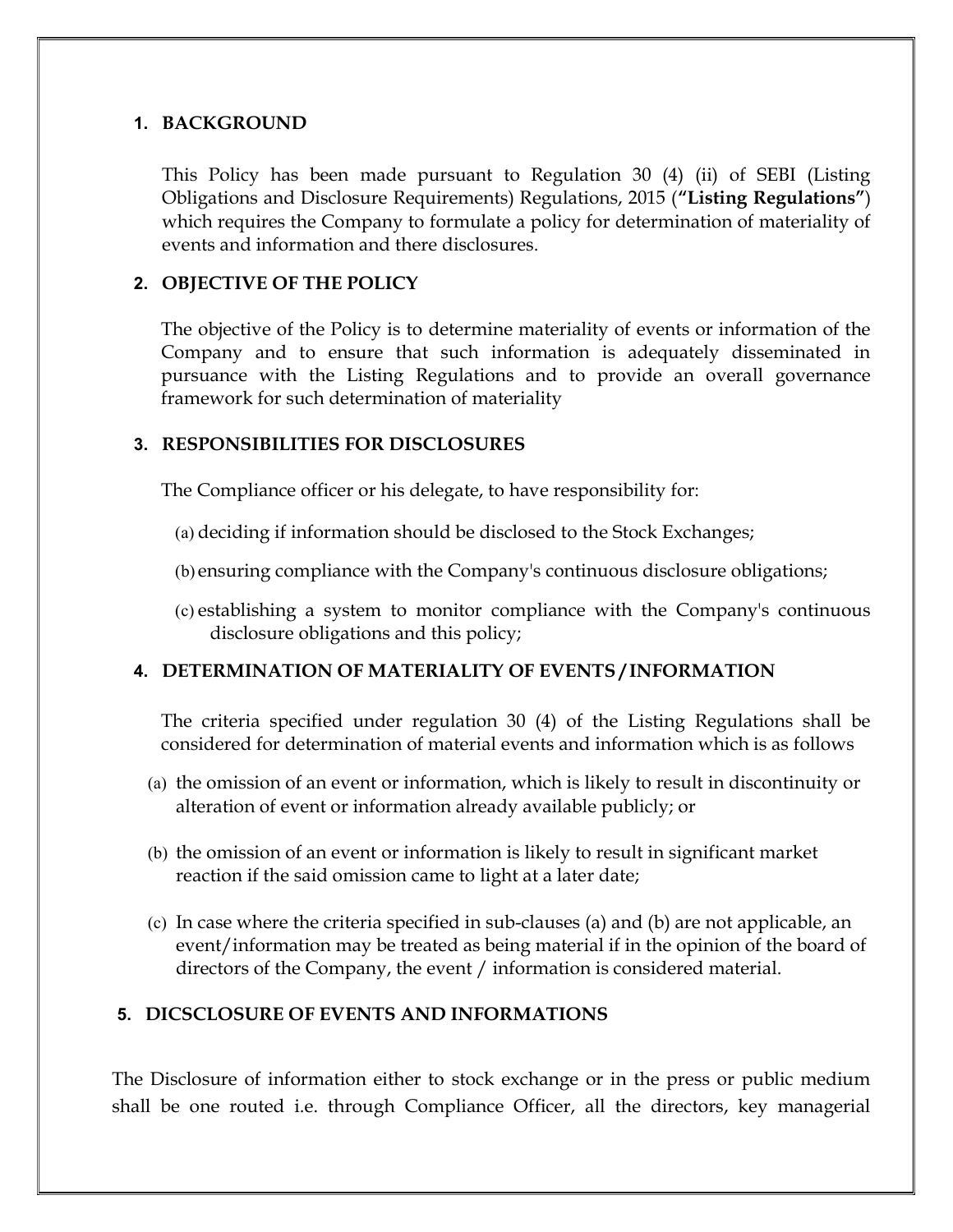### 1. BACKGROUND

This Policy has been made pursuant to Regulation 30 (4) (ii) of SEBI (Listing Obligations and Disclosure Requirements) Regulations, 2015 ("Listing Regulations") which requires the Company to formulate a policy for determination of materiality of events and information and there disclosures.

# 2. OBJECTIVE OF THE POLICY

The objective of the Policy is to determine materiality of events or information of the Company and to ensure that such information is adequately disseminated in pursuance with the Listing Regulations and to provide an overall governance framework for such determination of materiality

#### 3. RESPONSIBILITIES FOR DISCLOSURES

The Compliance officer or his delegate, to have responsibility for:

- (a) deciding if information should be disclosed to the Stock Exchanges;
- (b) ensuring compliance with the Company's continuous disclosure obligations;
- (c) establishing a system to monitor compliance with the Company's continuous disclosure obligations and this policy;

# 4. DETERMINATION OF MATERIALITY OF EVENTS / INFORMATION

The criteria specified under regulation 30 (4) of the Listing Regulations shall be considered for determination of material events and information which is as follows

- (a) the omission of an event or information, which is likely to result in discontinuity or alteration of event or information already available publicly; or
- (b) the omission of an event or information is likely to result in significant market reaction if the said omission came to light at a later date;
- (c) In case where the criteria specified in sub-clauses (a) and (b) are not applicable, an event/information may be treated as being material if in the opinion of the board of directors of the Company, the event / information is considered material.

# 5. DICSCLOSURE OF EVENTS AND INFORMATIONS

The Disclosure of information either to stock exchange or in the press or public medium shall be one routed i.e. through Compliance Officer, all the directors, key managerial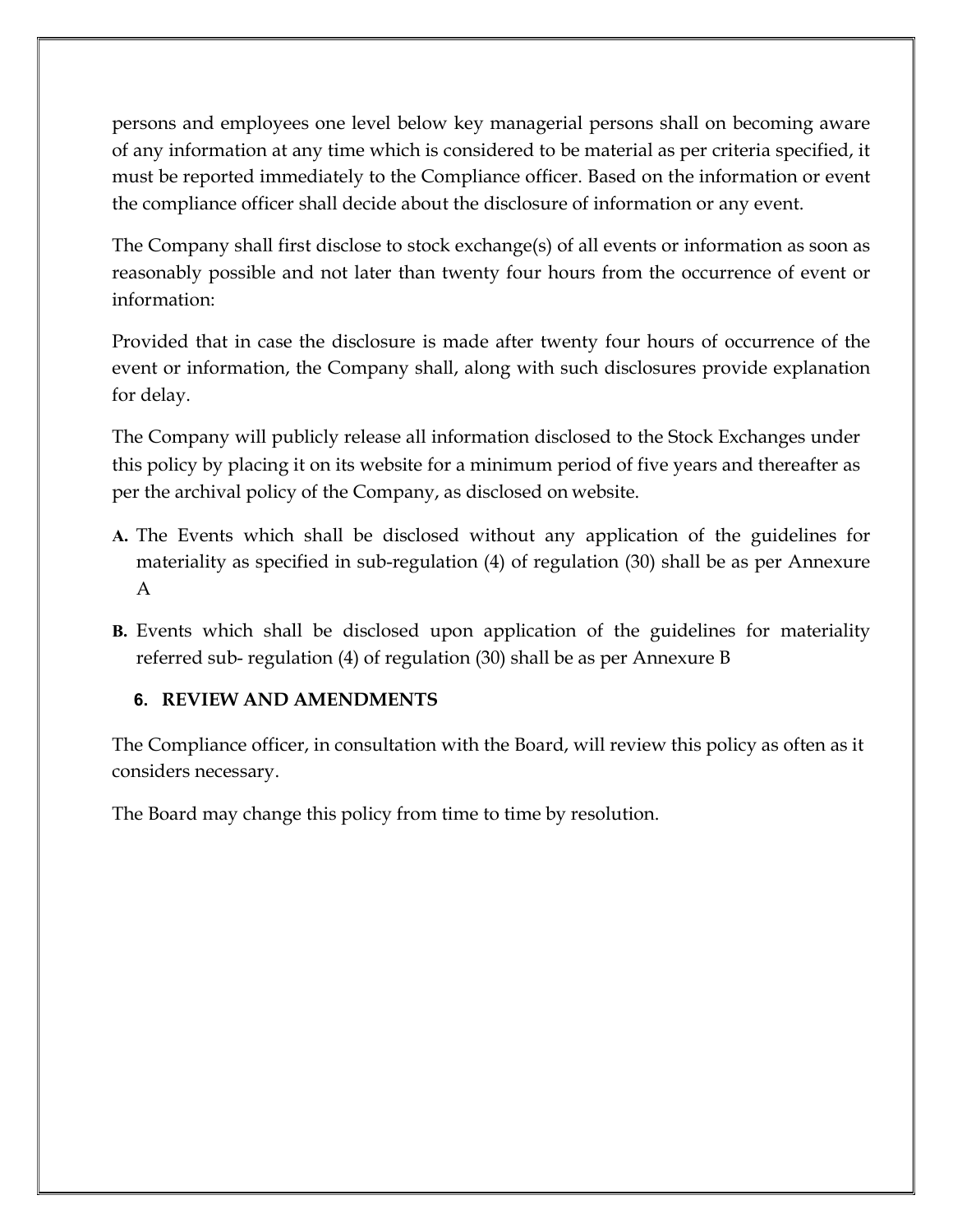persons and employees one level below key managerial persons shall on becoming aware of any information at any time which is considered to be material as per criteria specified, it must be reported immediately to the Compliance officer. Based on the information or event the compliance officer shall decide about the disclosure of information or any event.

The Company shall first disclose to stock exchange(s) of all events or information as soon as reasonably possible and not later than twenty four hours from the occurrence of event or information:

Provided that in case the disclosure is made after twenty four hours of occurrence of the event or information, the Company shall, along with such disclosures provide explanation for delay.

The Company will publicly release all information disclosed to the Stock Exchanges under this policy by placing it on its website for a minimum period of five years and thereafter as per the archival policy of the Company, as disclosed on website.

- A. The Events which shall be disclosed without any application of the guidelines for materiality as specified in sub-regulation (4) of regulation (30) shall be as per Annexure A
- B. Events which shall be disclosed upon application of the guidelines for materiality referred sub- regulation (4) of regulation (30) shall be as per Annexure B

# 6. REVIEW AND AMENDMENTS

The Compliance officer, in consultation with the Board, will review this policy as often as it considers necessary.

The Board may change this policy from time to time by resolution.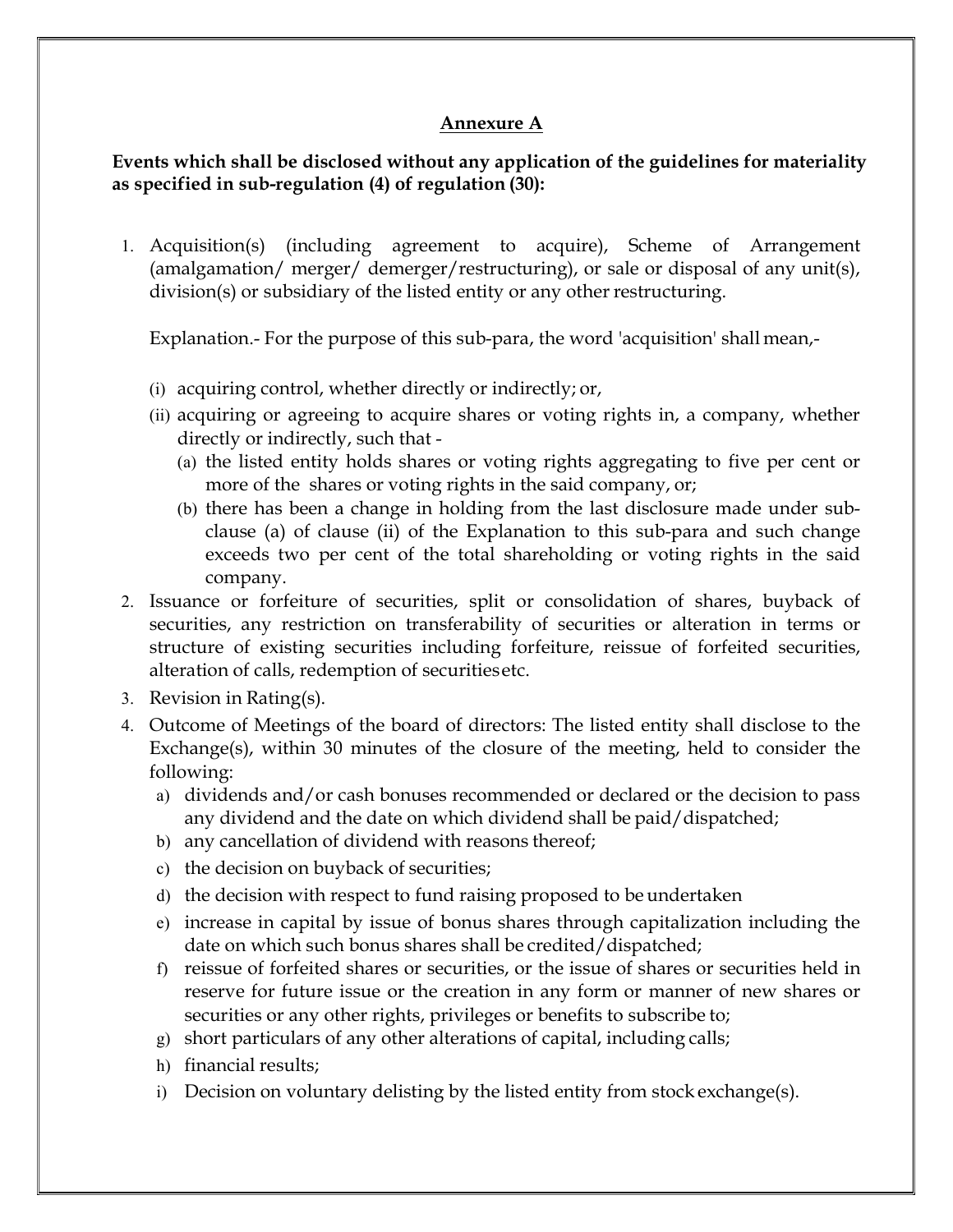# Annexure A

# Events which shall be disclosed without any application of the guidelines for materiality as specified in sub-regulation (4) of regulation (30):

1. Acquisition(s) (including agreement to acquire), Scheme of Arrangement (amalgamation/ merger/ demerger/restructuring), or sale or disposal of any unit(s), division(s) or subsidiary of the listed entity or any other restructuring.

Explanation.- For the purpose of this sub-para, the word 'acquisition' shall mean,-

- (i) acquiring control, whether directly or indirectly; or,
- (ii) acquiring or agreeing to acquire shares or voting rights in, a company, whether directly or indirectly, such that -
	- (a) the listed entity holds shares or voting rights aggregating to five per cent or more of the shares or voting rights in the said company, or;
	- (b) there has been a change in holding from the last disclosure made under subclause (a) of clause (ii) of the Explanation to this sub-para and such change exceeds two per cent of the total shareholding or voting rights in the said company.
- 2. Issuance or forfeiture of securities, split or consolidation of shares, buyback of securities, any restriction on transferability of securities or alteration in terms or structure of existing securities including forfeiture, reissue of forfeited securities, alteration of calls, redemption of securities etc.
- 3. Revision in Rating(s).
- 4. Outcome of Meetings of the board of directors: The listed entity shall disclose to the Exchange(s), within 30 minutes of the closure of the meeting, held to consider the following:
	- a) dividends and/or cash bonuses recommended or declared or the decision to pass any dividend and the date on which dividend shall be paid/dispatched;
	- b) any cancellation of dividend with reasons thereof;
	- c) the decision on buyback of securities;
	- d) the decision with respect to fund raising proposed to be undertaken
	- e) increase in capital by issue of bonus shares through capitalization including the date on which such bonus shares shall be credited/dispatched;
	- f) reissue of forfeited shares or securities, or the issue of shares or securities held in reserve for future issue or the creation in any form or manner of new shares or securities or any other rights, privileges or benefits to subscribe to;
	- g) short particulars of any other alterations of capital, including calls;
	- h) financial results;
	- i) Decision on voluntary delisting by the listed entity from stock exchange(s).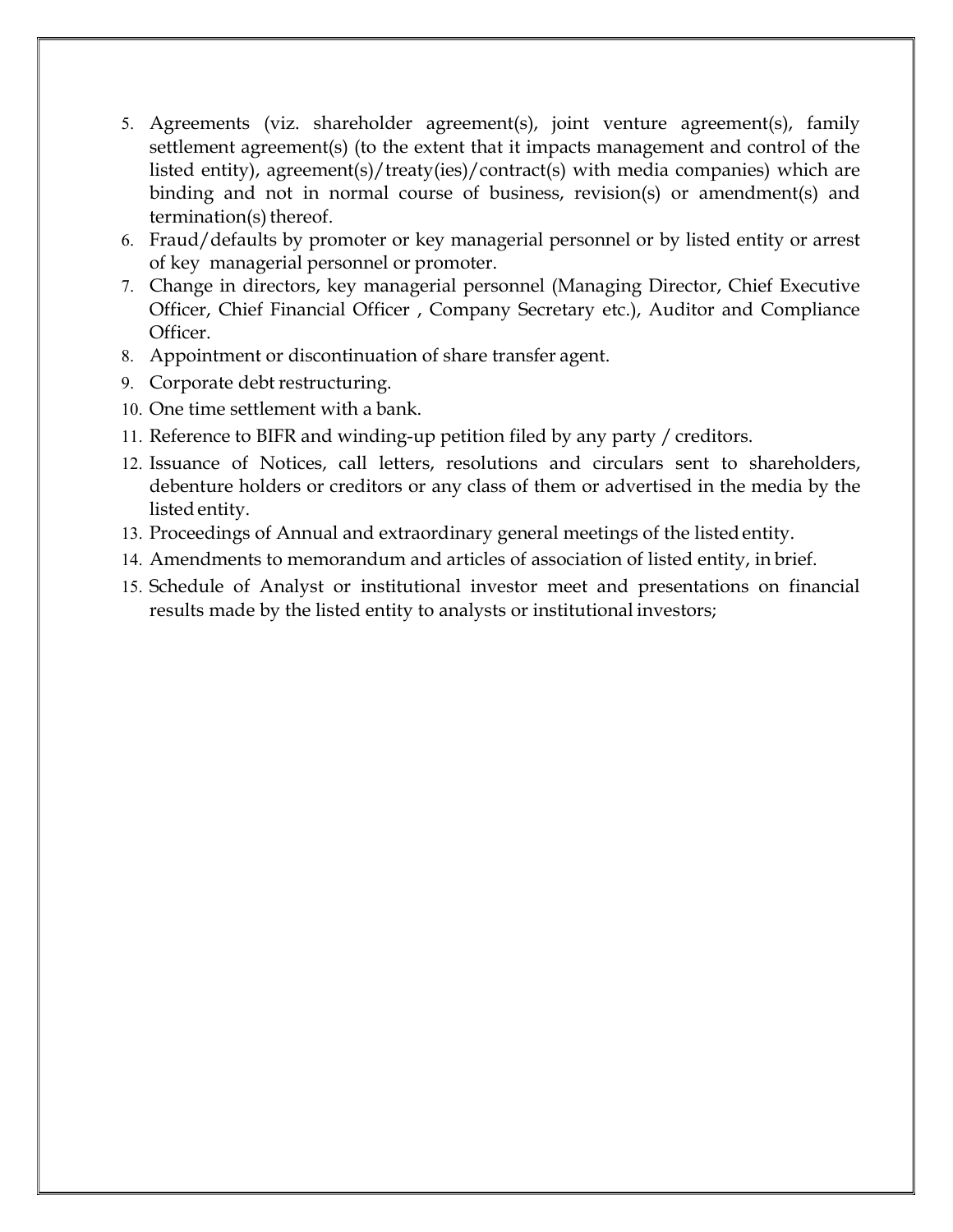- 5. Agreements (viz. shareholder agreement(s), joint venture agreement(s), family settlement agreement(s) (to the extent that it impacts management and control of the listed entity), agreement(s)/treaty(ies)/contract(s) with media companies) which are binding and not in normal course of business, revision(s) or amendment(s) and termination(s) thereof.
- 6. Fraud/defaults by promoter or key managerial personnel or by listed entity or arrest of key managerial personnel or promoter.
- 7. Change in directors, key managerial personnel (Managing Director, Chief Executive Officer, Chief Financial Officer , Company Secretary etc.), Auditor and Compliance Officer.
- 8. Appointment or discontinuation of share transfer agent.
- 9. Corporate debt restructuring.
- 10. One time settlement with a bank.
- 11. Reference to BIFR and winding-up petition filed by any party / creditors.
- 12. Issuance of Notices, call letters, resolutions and circulars sent to shareholders, debenture holders or creditors or any class of them or advertised in the media by the listed entity.
- 13. Proceedings of Annual and extraordinary general meetings of the listed entity.
- 14. Amendments to memorandum and articles of association of listed entity, in brief.
- 15. Schedule of Analyst or institutional investor meet and presentations on financial results made by the listed entity to analysts or institutional investors;